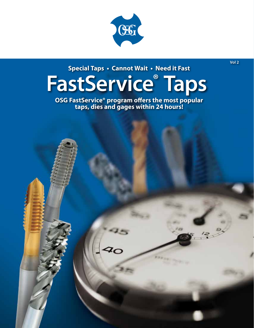

**Special Taps • Cannot Wait • Need it Fast**

# **FastService® Taps**

**OSG FastService® program offers the most popular taps, dies and gages within 24 hours!**



**Vol 2**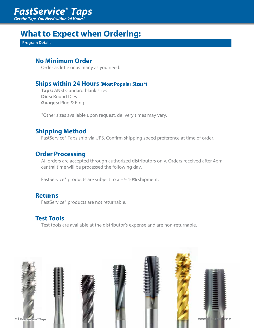## *FastService***®** *Taps*

*Get the Taps You Need within 24 Hours!*

## **What to Expect when Ordering:**

**Program Details**

#### **No Minimum Order**

Order as little or as many as you need.

#### **Ships within 24 Hours (Most Popular Sizes\*)**

 **Taps:** ANSI standard blank sizes **Dies:** Round Dies **Guages:** Plug & Ring

\*Other sizes available upon request, delivery times may vary.

#### **Shipping Method**

FastService® Taps ship via UPS. Confirm shipping speed preference at time of order.

#### **Order Processing**

 All orders are accepted through authorized distributors only. Orders received after 4pm central time will be processed the following day.

FastService® products are subject to a +/- 10% shipment.

#### **Returns**

FastService® products are not returnable.

#### **Test Tools**

Test tools are available at the distributor's expense and are non-returnable.

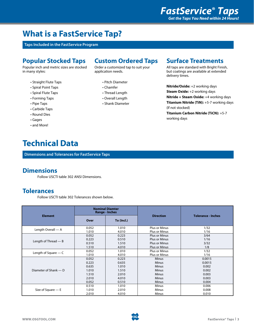## **What is a FastService Tap?**

**Taps Included in the FastService Program**

#### **Popular Stocked Taps**

Popular inch and metric sizes are stocked in many styles:

- Straight Flute Taps
- Spiral Point Taps
- Spiral Flute Taps
- Forming Taps
- Pipe Taps
- Carbide Taps
- Round Dies
- Gages
- and More!

### **Technical Data**

**Dimensions and Tolerances for FastService Taps**

#### **Dimensions**

Follow USCTI table 302 ANSI Dimensions.

#### **Tolerances**

Follow USCTI table 302 Tolerances shown below.

| <b>Element</b>         | <b>Nominal Diamter</b><br><b>Range - Inches</b> |                |                                       |                           |
|------------------------|-------------------------------------------------|----------------|---------------------------------------|---------------------------|
|                        | Over                                            | To (Incl.)     | <b>Direction</b>                      | <b>Tolerance - Inches</b> |
| Length Overall - A     | 0.052<br>1.010                                  | 1.010<br>4.010 | Plus or Minus<br><b>Plus or Minus</b> | 1/32<br>1/16              |
| Length of Thread $-$ B | 0.052                                           | 0.223          | <b>Plus or Minus</b>                  | 3/64                      |
|                        | 0.223                                           | 0.510          | <b>Plus or Minus</b>                  | 1/16                      |
|                        | 0.510                                           | 1.510          | <b>Plus or Minus</b>                  | 3/32                      |
|                        | 1.510                                           | 4.010          | <b>Plus or Minus</b>                  | 1/8                       |
| Length of Square $-$ C | 0.052                                           | 1.010          | Plus or Minus                         | 1/32                      |
|                        | 1.010                                           | 4.010          | Plus or Minus                         | 1/16                      |
| Diameter of Shank — D  | 0.052                                           | 0.223          | <b>Minus</b>                          | 0.0015                    |
|                        | 0.223                                           | 0.635          | <b>Minus</b>                          | 0.0015                    |
|                        | 0.635                                           | 1.010          | <b>Minus</b>                          | 0.002                     |
|                        | 1.010                                           | 1.510          | <b>Minus</b>                          | 0.002                     |
|                        | 1.510                                           | 2.010          | <b>Minus</b>                          | 0.003                     |
|                        | 2.010                                           | 4.010          | <b>Minus</b>                          | 0.003                     |
|                        | 0.052                                           | 0.510          | <b>Minus</b>                          | 0.004                     |
| Size of Square $- E$   | 0.510                                           | 1.010          | Minus                                 | 0.006                     |
|                        | 1.010                                           | 2.010          | Minus                                 | 0.008                     |
|                        | 2.010                                           | 4.010          | <b>Minus</b>                          | 0.010                     |

**Custom Ordered Taps**

Order a customized tap to suit your application needs.

- Pitch Diameter
- Chamfer
- Thread Length
- Overall Length
- Shank Diameter

#### **Surface Treatments**

All taps are standard with Bright Finish, but coatings are available at extended delivery times.

**Nitride/Oxide:** +2 working days **Steam Oxide:** +2 working days **Nitride + Steam Oxide:** +4 working days **Titanium Nitride (TiN):** +5-7 working days (If not stocked) **Titanium Carbon Nitride (TiCN):** +5-7 working days